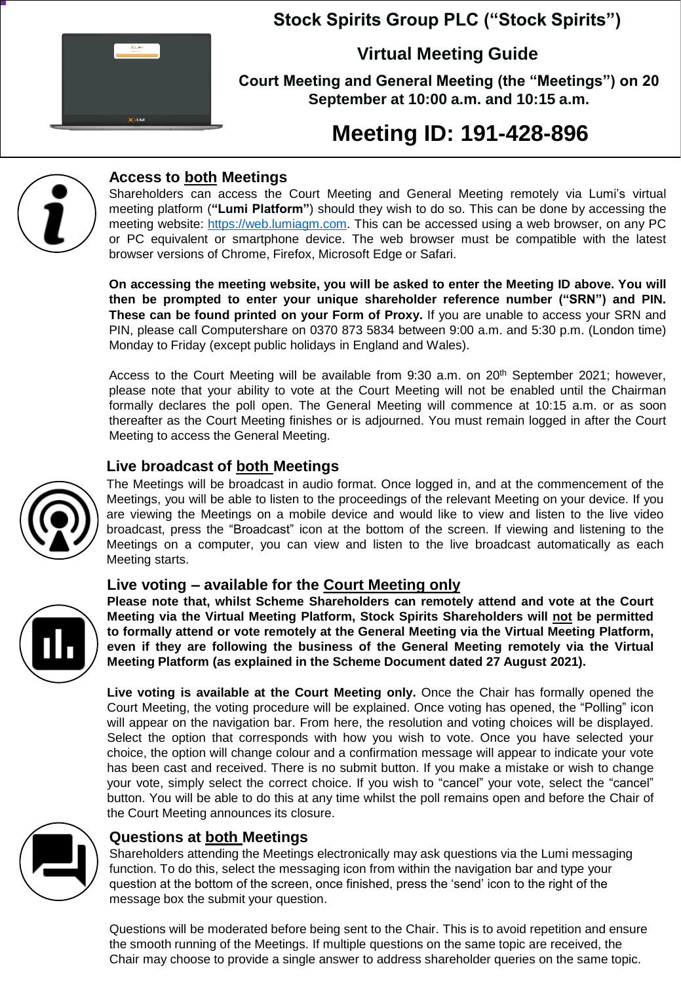

# **Stock Spirits Group PLC ("Stock Spirits")**

**Virtual Meeting Guide**

**Court Meeting and General Meeting (the "Meetings") on 20 September at 10:00 a.m. and 10:15 a.m.**

# **Meeting ID: 191-428-896**



## **Access to both Meetings**

Shareholders can access the Court Meeting and General Meeting remotely via Lumi's virtual meeting platform (**"Lumi Platform"**) should they wish to do so. This can be done by accessing the meeting website: https://web.lumiagm.com. This can be accessed using a web browser, on any PC or PC equivalent or smartphone device. The web browser must be compatible with the latest browser versions of Chrome, Firefox, Microsoft Edge or Safari.

**On accessing the meeting website, you will be asked to enter the Meeting ID above. You will then be prompted to enter your unique shareholder reference number ("SRN") and PIN. These can be found printed on your Form of Proxy.** If you are unable to access your SRN and PIN, please call Computershare on 0370 873 5834 between 9:00 a.m. and 5:30 p.m. (London time) Monday to Friday (except public holidays in England and Wales).

Access to the Court Meeting will be available from 9:30 a.m. on 20<sup>th</sup> September 2021; however, please note that your ability to vote at the Court Meeting will not be enabled until the Chairman formally declares the poll open. The General Meeting will commence at 10:15 a.m. or as soon thereafter as the Court Meeting finishes or is adjourned. You must remain logged in after the Court Meeting to access the General Meeting.

### **Live broadcast of both Meetings**



The Meetings will be broadcast in audio format. Once logged in, and at the commencement of the Meetings, you will be able to listen to the proceedings of the relevant Meeting on your device. If you are viewing the Meetings on a mobile device and would like to view and listen to the live video broadcast, press the "Broadcast" icon at the bottom of the screen. If viewing and listening to the Meetings on a computer, you can view and listen to the live broadcast automatically as each Meeting starts.

#### **Live voting – available for the Court Meeting only**



**Please note that, whilst Scheme Shareholders can remotely attend and vote at the Court Meeting via the Virtual Meeting Platform, Stock Spirits Shareholders will not be permitted to formally attend or vote remotely at the General Meeting via the Virtual Meeting Platform, even if they are following the business of the General Meeting remotely via the Virtual Meeting Platform (as explained in the Scheme Document dated 27 August 2021).**

**Live voting is available at the Court Meeting only.** Once the Chair has formally opened the Court Meeting, the voting procedure will be explained. Once voting has opened, the "Polling" icon will appear on the navigation bar. From here, the resolution and voting choices will be displayed. Select the option that corresponds with how you wish to vote. Once you have selected your choice, the option will change colour and a confirmation message will appear to indicate your vote has been cast and received. There is no submit button. If you make a mistake or wish to change your vote, simply select the correct choice. If you wish to "cancel" your vote, select the "cancel" button. You will be able to do this at any time whilst the poll remains open and before the Chair of the Court Meeting announces its closure.



#### **Questions at both Meetings**

Shareholders attending the Meetings electronically may ask questions via the Lumi messaging function. To do this, select the messaging icon from within the navigation bar and type your question at the bottom of the screen, once finished, press the 'send' icon to the right of the message box the submit your question.

Questions will be moderated before being sent to the Chair. This is to avoid repetition and ensure the smooth running of the Meetings. If multiple questions on the same topic are received, the Chair may choose to provide a single answer to address shareholder queries on the same topic.